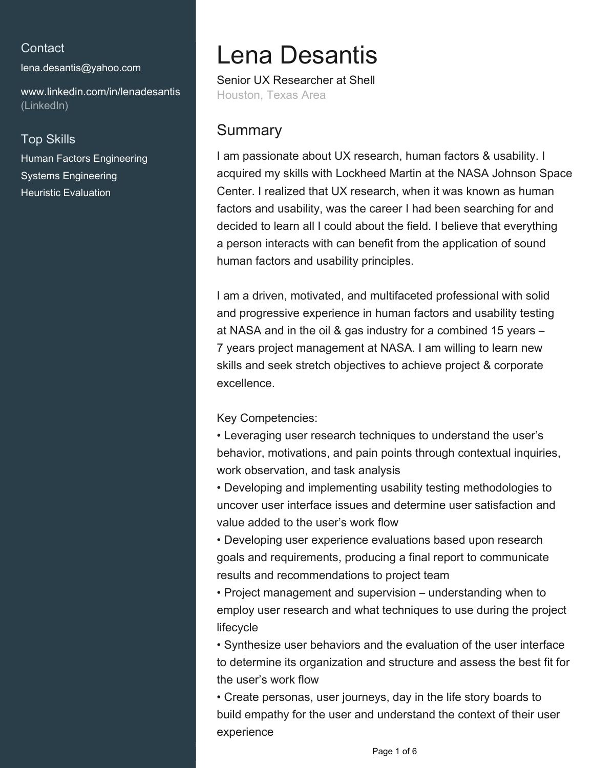#### **Contact**

[lena.desantis@yahoo.com](mailto:lena.desantis@yahoo.com)

[www.linkedin.com/in/lenadesantis](https://www.linkedin.com/in/lenadesantis?jobid=1234&lipi=urn%3Ali%3Apage%3Ad_jobs_easyapply_pdfgenresume%3BPcR88vCoTpizn761YHPMow%3D%3D&licu=urn%3Ali%3Acontrol%3Ad_jobs_easyapply_pdfgenresume-v02_profile) [\(LinkedIn\)](https://www.linkedin.com/in/lenadesantis?jobid=1234&lipi=urn%3Ali%3Apage%3Ad_jobs_easyapply_pdfgenresume%3BPcR88vCoTpizn761YHPMow%3D%3D&licu=urn%3Ali%3Acontrol%3Ad_jobs_easyapply_pdfgenresume-v02_profile)

### Top Skills

Human Factors Engineering Systems Engineering Heuristic Evaluation

# Lena Desantis

Senior UX Researcher at Shell Houston, Texas Area

# **Summary**

I am passionate about UX research, human factors & usability. I acquired my skills with Lockheed Martin at the NASA Johnson Space Center. I realized that UX research, when it was known as human factors and usability, was the career I had been searching for and decided to learn all I could about the field. I believe that everything a person interacts with can benefit from the application of sound human factors and usability principles.

I am a driven, motivated, and multifaceted professional with solid and progressive experience in human factors and usability testing at NASA and in the oil & gas industry for a combined 15 years – 7 years project management at NASA. I am willing to learn new skills and seek stretch objectives to achieve project & corporate excellence.

Key Competencies:

• Leveraging user research techniques to understand the user's behavior, motivations, and pain points through contextual inquiries, work observation, and task analysis

• Developing and implementing usability testing methodologies to uncover user interface issues and determine user satisfaction and value added to the user's work flow

• Developing user experience evaluations based upon research goals and requirements, producing a final report to communicate results and recommendations to project team

• Project management and supervision – understanding when to employ user research and what techniques to use during the project lifecycle

• Synthesize user behaviors and the evaluation of the user interface to determine its organization and structure and assess the best fit for the user's work flow

• Create personas, user journeys, day in the life story boards to build empathy for the user and understand the context of their user experience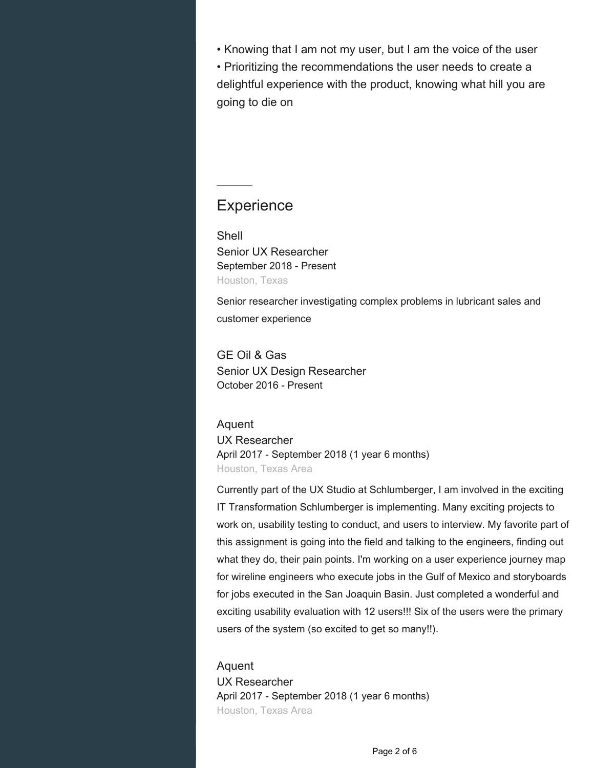• Knowing that I am not my user, but I am the voice of the user • Prioritizing the recommendations the user needs to create a

delightful experience with the product, knowing what hill you are going to die on

## **Experience**

Shell Senior UX Researcher September 2018 - Present Houston, Texas

Senior researcher investigating complex problems in lubricant sales and customer experience

GE Oil & Gas Senior UX Design Researcher October 2016 - Present

Aquent UX Researcher April 2017 - September 2018 (1 year 6 months) Houston, Texas Area

Currently part of the UX Studio at Schlumberger, I am involved in the exciting IT Transformation Schlumberger is implementing. Many exciting projects to work on, usability testing to conduct, and users to interview. My favorite part of this assignment is going into the field and talking to the engineers, finding out what they do, their pain points. I'm working on a user experience journey map for wireline engineers who execute jobs in the Gulf of Mexico and storyboards for jobs executed in the San Joaquin Basin. Just completed a wonderful and exciting usability evaluation with 12 users!!! Six of the users were the primary users of the system (so excited to get so many!!).

Aquent UX Researcher April 2017 - September 2018 (1 year 6 months) Houston, Texas Area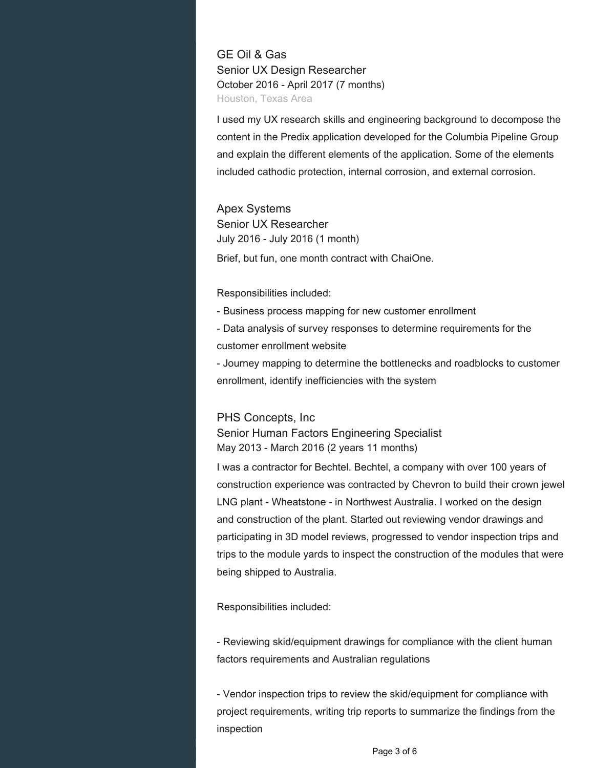GE Oil & Gas Senior UX Design Researcher October 2016 - April 2017 (7 months) Houston, Texas Area

I used my UX research skills and engineering background to decompose the content in the Predix application developed for the Columbia Pipeline Group and explain the different elements of the application. Some of the elements included cathodic protection, internal corrosion, and external corrosion.

Apex Systems Senior UX Researcher July 2016 - July 2016 (1 month)

Brief, but fun, one month contract with ChaiOne.

Responsibilities included:

- Business process mapping for new customer enrollment - Data analysis of survey responses to determine requirements for the customer enrollment website

- Journey mapping to determine the bottlenecks and roadblocks to customer enrollment, identify inefficiencies with the system

PHS Concepts, Inc Senior Human Factors Engineering Specialist May 2013 - March 2016 (2 years 11 months)

I was a contractor for Bechtel. Bechtel, a company with over 100 years of construction experience was contracted by Chevron to build their crown jewel LNG plant - Wheatstone - in Northwest Australia. I worked on the design and construction of the plant. Started out reviewing vendor drawings and participating in 3D model reviews, progressed to vendor inspection trips and trips to the module yards to inspect the construction of the modules that were being shipped to Australia.

Responsibilities included:

- Reviewing skid/equipment drawings for compliance with the client human factors requirements and Australian regulations

- Vendor inspection trips to review the skid/equipment for compliance with project requirements, writing trip reports to summarize the findings from the inspection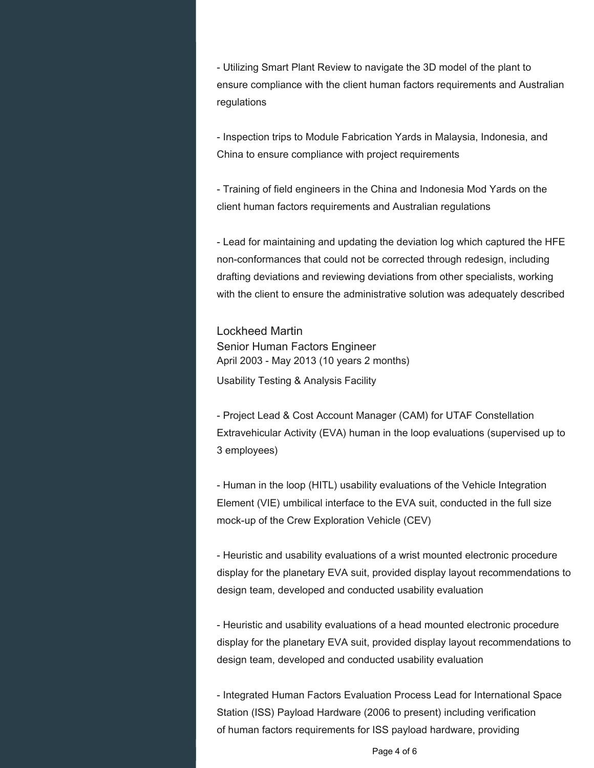- Utilizing Smart Plant Review to navigate the 3D model of the plant to ensure compliance with the client human factors requirements and Australian regulations

- Inspection trips to Module Fabrication Yards in Malaysia, Indonesia, and China to ensure compliance with project requirements

- Training of field engineers in the China and Indonesia Mod Yards on the client human factors requirements and Australian regulations

- Lead for maintaining and updating the deviation log which captured the HFE non-conformances that could not be corrected through redesign, including drafting deviations and reviewing deviations from other specialists, working with the client to ensure the administrative solution was adequately described

Lockheed Martin Senior Human Factors Engineer April 2003 - May 2013 (10 years 2 months) Usability Testing & Analysis Facility

- Project Lead & Cost Account Manager (CAM) for UTAF Constellation Extravehicular Activity (EVA) human in the loop evaluations (supervised up to 3 employees)

- Human in the loop (HITL) usability evaluations of the Vehicle Integration Element (VIE) umbilical interface to the EVA suit, conducted in the full size mock-up of the Crew Exploration Vehicle (CEV)

- Heuristic and usability evaluations of a wrist mounted electronic procedure display for the planetary EVA suit, provided display layout recommendations to design team, developed and conducted usability evaluation

- Heuristic and usability evaluations of a head mounted electronic procedure display for the planetary EVA suit, provided display layout recommendations to design team, developed and conducted usability evaluation

- Integrated Human Factors Evaluation Process Lead for International Space Station (ISS) Payload Hardware (2006 to present) including verification of human factors requirements for ISS payload hardware, providing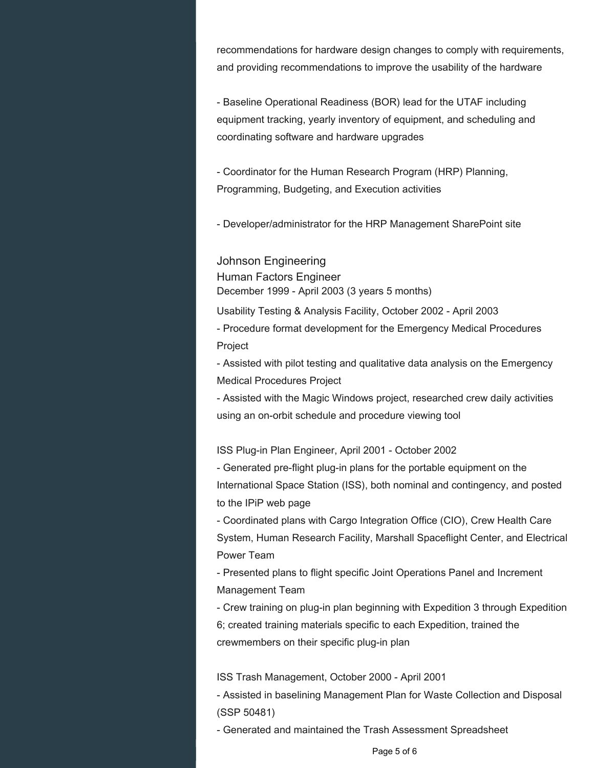recommendations for hardware design changes to comply with requirements, and providing recommendations to improve the usability of the hardware

- Baseline Operational Readiness (BOR) lead for the UTAF including equipment tracking, yearly inventory of equipment, and scheduling and coordinating software and hardware upgrades

- Coordinator for the Human Research Program (HRP) Planning, Programming, Budgeting, and Execution activities

- Developer/administrator for the HRP Management SharePoint site

Johnson Engineering Human Factors Engineer December 1999 - April 2003 (3 years 5 months)

Usability Testing & Analysis Facility, October 2002 - April 2003 - Procedure format development for the Emergency Medical Procedures Project

- Assisted with pilot testing and qualitative data analysis on the Emergency Medical Procedures Project

- Assisted with the Magic Windows project, researched crew daily activities using an on-orbit schedule and procedure viewing tool

ISS Plug-in Plan Engineer, April 2001 - October 2002

- Generated pre-flight plug-in plans for the portable equipment on the International Space Station (ISS), both nominal and contingency, and posted to the IPiP web page

- Coordinated plans with Cargo Integration Office (CIO), Crew Health Care System, Human Research Facility, Marshall Spaceflight Center, and Electrical Power Team

- Presented plans to flight specific Joint Operations Panel and Increment Management Team

- Crew training on plug-in plan beginning with Expedition 3 through Expedition 6; created training materials specific to each Expedition, trained the

crewmembers on their specific plug-in plan

ISS Trash Management, October 2000 - April 2001

- Assisted in baselining Management Plan for Waste Collection and Disposal (SSP 50481)

- Generated and maintained the Trash Assessment Spreadsheet